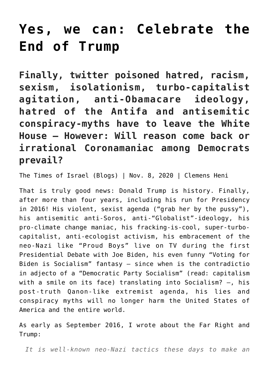## **[Yes, we can: Celebrate the](https://www.clemensheni.net/yes-we-can-celebrate-the-end-of-trump/) [End of Trump](https://www.clemensheni.net/yes-we-can-celebrate-the-end-of-trump/)**

**Finally, twitter poisoned hatred, racism, sexism, isolationism, turbo-capitalist agitation, anti-Obamacare ideology, hatred of the Antifa and antisemitic conspiracy-myths have to leave the White House – However: Will reason come back or irrational Coronamaniac among Democrats prevail?**

[The Times of Israel \(Blogs\)](https://blogs.timesofisrael.com/?p=858658) | Nov. 8, 2020 | Clemens Heni

That is truly good news: Donald Trump is history. Finally, after more than four years, including his run for Presidency in 2016! His violent, sexist agenda ("grab her by the pussy"), his antisemitic anti-Soros, anti-"Globalist"-ideology, his pro-climate change maniac, his fracking-is-cool, super-turbocapitalist, anti-ecologist activism, his embracement of the neo-Nazi like "Proud Boys" live on TV during the first Presidential Debate with Joe Biden, his even funny "Voting for Biden is Socialism" fantasy – since when is the contradictio in adjecto of a "Democratic Party Socialism" (read: capitalism with a smile on its face) translating into Socialism? –, his post-truth Qanon-like extremist agenda, his lies and conspiracy myths will no longer harm the United States of America and the entire world.

As early as September 2016, I wrote about the Far Right and Trump:

*It is well-known neo-Nazi tactics these days to make an*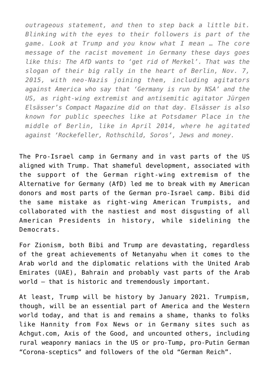*outrageous statement, and then to step back a little bit. Blinking with the eyes to their followers is part of the game. Look at Trump and you know what I mean … The core message of the racist movement in Germany these days goes like this: The AfD wants to 'get rid of Merkel'. That was the slogan of their big rally in the heart of Berlin, Nov. 7, 2015, with neo-Nazis joining them, including agitators against America who say that 'Germany is run by NSA' and the US, as right-wing extremist and antisemitic agitator Jürgen Elsässer's Compact Magazine did on that day. Elsässer is also known for public speeches like at Potsdamer Place in the middle of Berlin, like in April 2014, where he agitated against 'Rockefeller, Rothschild, Soros', Jews and money.*

The Pro-Israel camp in Germany and in vast parts of the US aligned with Trump. That shameful development, associated with the support of the German right-wing extremism of the Alternative for Germany (AfD) led me to break with my American donors and most parts of the German pro-Israel camp. Bibi did the same mistake as right-wing American Trumpists, and collaborated with the nastiest and most disgusting of all American Presidents in history, while sidelining the Democrats.

For Zionism, both Bibi and Trump are devastating, regardless of the great achievements of Netanyahu when it comes to the Arab world and the diplomatic relations with the United Arab Emirates (UAE), Bahrain and probably vast parts of the Arab world – that is historic and tremendously important.

At least, Trump will be history by January 2021. Trumpism, though, will be an essential part of America and the Western world today, and that is and remains a shame, thanks to folks like Hannity from Fox News or in Germany sites such as Achgut.com, Axis of the Good, and uncounted others, including rural weaponry maniacs in the US or pro-Tump, pro-Putin German "Corona-sceptics" and followers of the old "German Reich".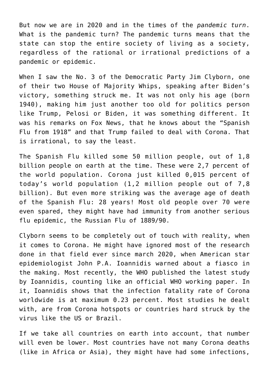But now we are in 2020 and in the times of the *pandemic turn*. What is the pandemic turn? The pandemic turns means that the state can stop the entire society of living as a society, regardless of the rational or irrational predictions of a pandemic or epidemic.

When I saw the No. 3 of the Democratic Party [Jim Clyborn,](https://video.foxnews.com/v/6208054541001#sp=show-clips) one of their two House of Majority Whips, speaking after Biden's victory, something struck me. It was not only his age (born 1940), making him just another too old for politics person like Trump, Pelosi or Biden, it was something different. It was his remarks on Fox News, that he knows about the "Spanish Flu from 1918" and that Trump failed to deal with Corona. That is irrational, to say the least.

The Spanish Flu killed some 50 million people, out of 1,8 billion people on earth at the time. These were 2,7 percent of the world population. Corona just killed 0,015 percent of today's world population (1,2 million people out of 7,8 billion). But even more striking was the average age of death of the Spanish Flu: 28 years! Most old people over 70 were even spared, they might have had immunity from another serious flu epidemic, the [Russian Flu of 1889/90.](https://ourworldindata.org/spanish-flu-largest-influenza-pandemic-in-history)

Clyborn seems to be completely out of touch with reality, when it comes to Corona. He might have ignored most of the research done in that field ever since march 2020, when American [star](https://www.statnews.com/2020/03/17/a-fiasco-in-the-making-as-the-coronavirus-pandemic-takes-hold-we-are-making-decisions-without-reliable-data/) [epidemiologist John P.A. Ioannidis warned about a fiasco](https://www.statnews.com/2020/03/17/a-fiasco-in-the-making-as-the-coronavirus-pandemic-takes-hold-we-are-making-decisions-without-reliable-data/) in the making. [Most recently, the WHO published the latest study](https://www.who.int/bulletin/online_first/BLT.20.265892.pdf) [by Ioannidis, counting like an official WHO working paper](https://www.who.int/bulletin/online_first/BLT.20.265892.pdf). In it, Ioannidis shows that the infection fatality rate of Corona worldwide is at maximum 0.23 percent. Most studies he dealt with, are from Corona hotspots or countries hard struck by the virus like the US or Brazil.

If we take all countries on earth into account, that number will even be lower. Most countries have not many Corona deaths (like in Africa or Asia), they might have had some infections,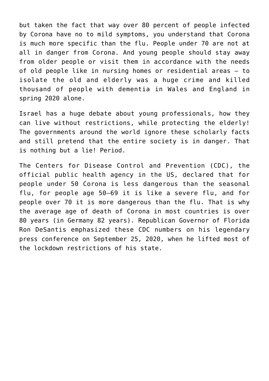but taken the fact that way over 80 percent of people infected by Corona have no to mild symptoms, you understand that Corona is much more specific than the flu. People under 70 are not at all in danger from Corona. And young people should stay away from older people or visit them in accordance with the needs of old people like in nursing homes or residential areas – [to](https://www.theguardian.com/world/2020/jun/05/covid-19-causing-10000-dementia-deaths-beyond-infections-research-says) [isolate the old and elderly was a huge crime and killed](https://www.theguardian.com/world/2020/jun/05/covid-19-causing-10000-dementia-deaths-beyond-infections-research-says) [thousand of people with dementia in Wales and England in](https://www.theguardian.com/world/2020/jun/05/covid-19-causing-10000-dementia-deaths-beyond-infections-research-says) [spring 2020 alone.](https://www.theguardian.com/world/2020/jun/05/covid-19-causing-10000-dementia-deaths-beyond-infections-research-says)

Israel has a huge debate about young professionals, how they can live without restrictions, while protecting the elderly! The governments around the world ignore these scholarly facts and still pretend that the entire society is in danger. That is nothing but a lie! Period.

The Centers for Disease Control and Prevention (CDC), the official public health agency in the US, declared that for people under 50 Corona is less dangerous than the seasonal flu, for people age 50–69 it is like a severe flu, and for people over 70 it is more dangerous than the flu. That is why the average age of death of Corona in most countries is over 80 years (in Germany 82 years). Republican Governor of Florida [Ron DeSantis](https://www.youtube.com/watch?v=oK4qKYvd5QU) emphasized these CDC numbers on his legendary press conference on September 25, 2020, when he lifted most of the lockdown restrictions of his state.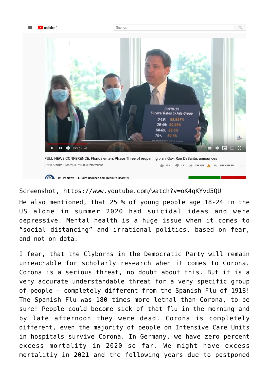

Suchen



WPTV News - FL Palm Beaches and Treasure Coast ©

Screenshot,<https://www.youtube.com/watch?v=oK4qKYvd5QU>

He also mentioned, that 25 % of young people age 18-24 in the US alone in summer 2020 had suicidal ideas and were depressive. Mental health is a huge issue when it comes to "social distancing" and irrational politics, based on fear, and not on data.

I fear, that the Clyborns in the Democratic Party will remain unreachable for scholarly research when it comes to Corona. Corona is a serious threat, no doubt about this. But it is a very accurate understandable threat for a very specific group of people – completely different from the Spanish Flu of 1918! The Spanish Flu was 180 times more lethal than Corona, to be sure! People could become sick of that flu in the morning and by late afternoon they were dead. Corona is completely different, even the majority of people on Intensive Care Units in hospitals survive Corona. In Germany, we have zero percent excess mortality in 2020 so far. We might have excess mortalitiy in 2021 and the following years due to postponed

 $Q$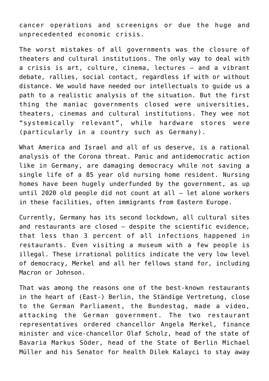cancer operations and screenigns or due the huge and unprecedented economic crisis.

The worst mistakes of all governments was the closure of theaters and cultural institutions. The only way to deal with a crisis is art, culture, cinema, lectures – and a vibrant debate, rallies, social contact, regardless if with or without distance. We would have needed our intellectuals to guide us a path to a realistic analysis of the situation. But the first thing the maniac governments closed were universities, theaters, cinemas and cultural institutions. They wee not "systemically relevant", while hardware stores were (particularly in a country such as Germany).

What America and Israel and all of us deserve, is a rational analysis of the Corona threat. Panic and antidemocratic action like in Germany, are damaging democracy while not saving a single life of a 85 year old nursing home resident. Nursing homes have been hugely underfunded by the government, as up until 2020 old people did not count at all – let alone workers in these facilities, often immigrants from Eastern Europe.

Currently, Germany has its second lockdown, all cultural sites and restaurants are closed – despite the scientific evidence, that less than 3 percent of all infections happened in restaurants. Even visiting a museum with a few people is illegal. These irrational politics indicate the very low level of democracy, Merkel and all her fellows stand for, including Macron or Johnson.

That was among the reasons one of the best-known restaurants in the heart of (East-) Berlin, the [Ständige Vertretung](https://www.youtube.com/watch?v=CXprfYLROjA), close to the German Parliament, the Bundestag, made a video, attacking the German government. The two restaurant representatives ordered chancellor Angela Merkel, finance minister and vice-chancellor Olaf Scholz, head of the state of Bavaria Markus Söder, head of the State of Berlin Michael Müller and his Senator for health Dilek Kalayci to stay away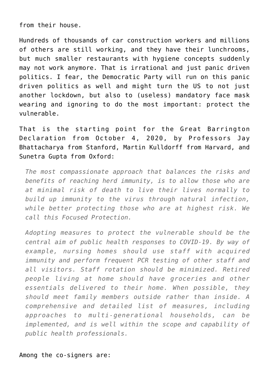from their house.

Hundreds of thousands of car construction workers and millions of others are still working, and they have their lunchrooms, but much smaller restaurants with hygiene concepts suddenly may not work anymore. That is irrational and just panic driven politics. I fear, the Democratic Party will run on this panic driven politics as well and might turn the US to not just another lockdown, but also to (useless) mandatory face mask wearing and ignoring to do the most important: protect the vulnerable.

That is the starting point for the [Great Barrington](https://gbdeclaration.org/) [Declaration](https://gbdeclaration.org/) from October 4, 2020, by Professors Jay Bhattacharya from Stanford, Martin Kulldorff from Harvard, and Sunetra Gupta from Oxford:

*The most compassionate approach that balances the risks and benefits of reaching herd immunity, is to allow those who are at minimal risk of death to live their lives normally to build up immunity to the virus through natural infection, while better protecting those who are at highest risk. We call this Focused Protection.*

*Adopting measures to protect the vulnerable should be the central aim of public health responses to COVID-19. By way of example, nursing homes should use staff with acquired immunity and perform frequent PCR testing of other staff and all visitors. Staff rotation should be minimized. Retired people living at home should have groceries and other essentials delivered to their home. When possible, they should meet family members outside rather than inside. A comprehensive and detailed list of measures, including approaches to multi-generational households, can be implemented, and is well within the scope and capability of public health professionals.*

Among the co-signers are: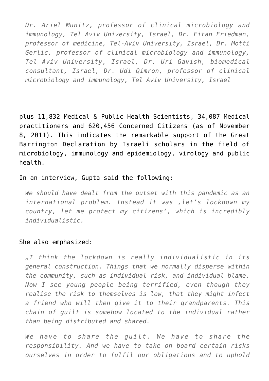*Dr. Ariel Munitz, professor of clinical microbiology and immunology, Tel Aviv University, Israel, Dr. Eitan Friedman, professor of medicine, Tel-Aviv University, Israel, Dr. Motti Gerlic, professor of clinical microbiology and immunology, Tel Aviv University, Israel, Dr. Uri Gavish, biomedical consultant, Israel, Dr. Udi Qimron, professor of clinical microbiology and immunology, Tel Aviv University, Israel*

plus 11,832 Medical & Public Health Scientists, 34,087 Medical practitioners and 620,456 Concerned Citizens (as of November 8, 2011). This indicates the remarkable support of the Great Barrington Declaration by Israeli scholars in the field of microbiology, immunology and epidemiology, virology and public health.

In an interview, [Gupta said the following:](https://reaction.life/we-may-already-have-herd-immunity-an-interview-with-professor-sunetra-gupta/)

*We should have dealt from the outset with this pandemic as an international problem. Instead it was 'let's lockdown my country, let me protect my citizens', which is incredibly individualistic.*

## She also emphasized:

*"I think the lockdown is really individualistic in its general construction. Things that we normally disperse within the community, such as individual risk, and individual blame. Now I see young people being terrified, even though they realise the risk to themselves is low, that they might infect a friend who will then give it to their grandparents. This chain of guilt is somehow located to the individual rather than being distributed and shared.*

*We have to share the guilt. We have to share the responsibility. And we have to take on board certain risks ourselves in order to fulfil our obligations and to uphold*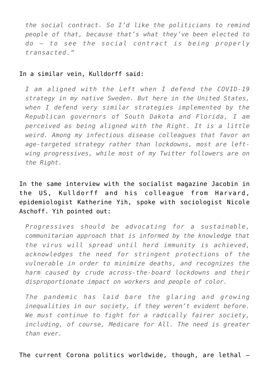*the social contract. So I'd like the politicians to remind people of that, because that's what they've been elected to do – to see the social contract is being properly transacted."*

## In a similar vein, Kulldorff said:

*I am aligned with the Left when I defend the COVID-19 strategy in my native Sweden. But here in the United States, when I defend very similar strategies implemented by the Republican governors of South Dakota and Florida, I am perceived as being aligned with the Right. It is a little weird. Among my infectious disease colleagues that favor an age-targeted strategy rather than lockdowns, most are leftwing progressives, while most of my Twitter followers are on the Right.*

[In the same interview with the socialist magazine Jacobin in](https://www.jacobinmag.com/2020/09/covid-19-pandemic-economy-us-response-inequality) [the US, Kulldorff and his colleague from Harvard,](https://www.jacobinmag.com/2020/09/covid-19-pandemic-economy-us-response-inequality) [epidemiologist Katherine Yih](https://www.jacobinmag.com/2020/09/covid-19-pandemic-economy-us-response-inequality), spoke with sociologist Nicole Aschoff. Yih pointed out:

*Progressives should be advocating for a sustainable, communitarian approach that is informed by the knowledge that the virus will spread until herd immunity is achieved, acknowledges the need for stringent protections of the vulnerable in order to minimize deaths, and recognizes the harm caused by crude across-the-board lockdowns and their disproportionate impact on workers and people of color.*

*The pandemic has laid bare the glaring and growing inequalities in our society, if they weren't evident before. We must continue to fight for a radically fairer society, including, of course, Medicare for All. The need is greater than ever.*

The current Corona politics worldwide, though, are lethal –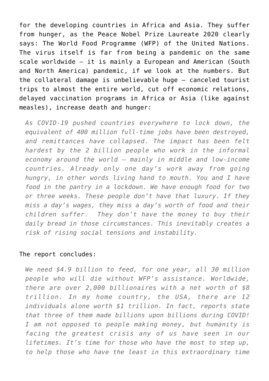for the developing countries in Africa and Asia. They suffer from hunger, as the [Peace Nobel Prize Laureate 2020 clearly](https://www.wfp.org/news/wfp-chief-warns-grave-dangers-economic-impact-coronavirus-millions-are-pushed-further-hunger) [says: The World Food Programme \(WFP\) of the United Nations.](https://www.wfp.org/news/wfp-chief-warns-grave-dangers-economic-impact-coronavirus-millions-are-pushed-further-hunger) The virus itself is far from being a pandemic on the same scale worldwide – it is mainly a European and American (South and North America) pandemic, if we look at the numbers. But the collateral damage is unbelievable huge – canceled tourist trips to almost the entire world, cut off economic relations, delayed vaccination programs in Africa or Asia (like against measles), increase death and hunger:

*As COVID-19 pushed countries everywhere to lock down, the equivalent of 400 million full-time jobs have been destroyed, and remittances have collapsed. The impact has been felt hardest by the 2 billion people who work in the informal economy around the world – mainly in middle and low-income countries. Already only one day's work away from going hungry, in other words living hand to mouth. You and I have food in the pantry in a lockdown. We have enough food for two or three weeks. These people don't have that luxury. If they miss a day's wages, they miss a day's worth of food and their children suffer. They don't have the money to buy their daily bread in those circumstances. This inevitably creates a risk of rising social tensions and instability.*

## The report concludes:

*We need \$4.9 billion to feed, for one year, all 30 million people who will die without WFP's assistance. Worldwide, there are over 2,000 billionaires with a net worth of \$8 trillion. In my home country, the USA, there are 12 individuals alone worth \$1 trillion. In fact, reports state that three of them made billions upon billions during COVID! I am not opposed to people making money, but humanity is facing the greatest crisis any of us have seen in our lifetimes. It's time for those who have the most to step up, to help those who have the least in this extraordinary time*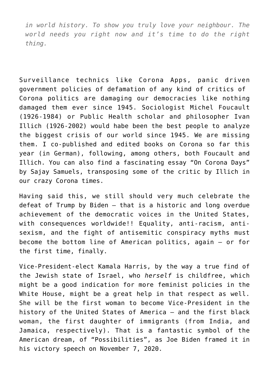*in world history. To show you truly love your neighbour. The world needs you right now and it's time to do the right thing.*

Surveillance technics like Corona Apps, panic driven government policies of defamation of any kind of critics of Corona politics are damaging our democracies like nothing damaged them ever since 1945. Sociologist Michel Foucault (1926-1984) or Public Health scholar and philosopher Ivan Illich (1926-2002) would habe been the best people to analyze the biggest crisis of our world since 1945. We are missing them. I [co-published](https://www.editioncritic.de/allgemein/neuerscheinung-corona-und-die-demokratie-eine-linke-kritik-gerald-grueneklee-clemens-heni-peter-nowak/) and [edited](https://www.editioncritic.de/allgemein/neuerscheinung-im-oktober-2020-clemens-heni-hg-gefaehrderansprache/) books on Corona so far this year (in German), following, among others, both Foucault and Illich. You can also find a fascinating essay "On Corona Days" by [Sajay Samuels](https://samerski.de/wp-content/uploads/2020/08/OnCoronaDays_May_2020.pdf), transposing some of the critic by Illich in our crazy Corona times.

Having said this, we still should very much celebrate the defeat of Trump by Biden – that is a historic and long overdue achievement of the democratic voices in the United States, with consequences worldwide!! Equality, anti-racism, antisexism, and the fight of antisemitic conspiracy myths must become the bottom line of American politics, again – or for the first time, finally.

Vice-President-elect Kamala Harris, by the way a true find of the Jewish state of Israel, who *herself* is childfree, which might be a good indication for more feminist policies in the White House, might be a great help in that respect as well. She will be the first woman to become Vice-President in the history of the United States of America – and the first black woman, the first daughter of immigrants (from India, and Jamaica, respectively). That is a fantastic symbol of the American dream, of "Possibilities", as Joe Biden framed it in [his victory speech on November 7, 2020](https://video.foxnews.com/v/6208077910001#sp=show-clips).